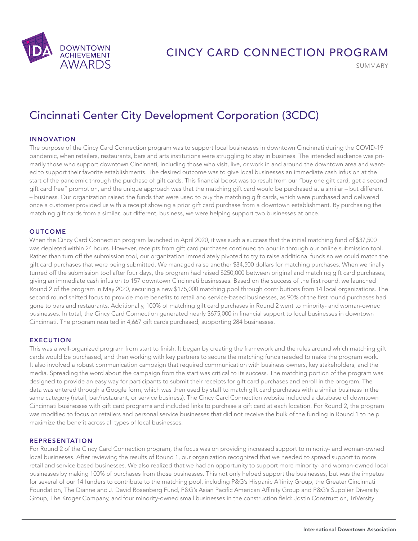

SUMMARY

# Cincinnati Center City Development Corporation (3CDC)

## INNOVATION

The purpose of the Cincy Card Connection program was to support local businesses in downtown Cincinnati during the COVID-19 pandemic, when retailers, restaurants, bars and arts institutions were struggling to stay in business. The intended audience was primarily those who support downtown Cincinnati, including those who visit, live, or work in and around the downtown area and wanted to support their favorite establishments. The desired outcome was to give local businesses an immediate cash infusion at the start of the pandemic through the purchase of gift cards. This financial boost was to result from our "buy one gift card, get a second gift card free" promotion, and the unique approach was that the matching gift card would be purchased at a similar – but different – business. Our organization raised the funds that were used to buy the matching gift cards, which were purchased and delivered once a customer provided us with a receipt showing a prior gift card purchase from a downtown establishment. By purchasing the matching gift cards from a similar, but different, business, we were helping support two businesses at once.

#### **OUTCOME**

When the Cincy Card Connection program launched in April 2020, it was such a success that the initial matching fund of \$37,500 was depleted within 24 hours. However, receipts from gift card purchases continued to pour in through our online submission tool. Rather than turn off the submission tool, our organization immediately pivoted to try to raise additional funds so we could match the gift card purchases that were being submitted. We managed raise another \$84,500 dollars for matching purchases. When we finally turned off the submission tool after four days, the program had raised \$250,000 between original and matching gift card purchases, giving an immediate cash infusion to 157 downtown Cincinnati businesses. Based on the success of the first round, we launched Round 2 of the program in May 2020, securing a new \$175,000 matching pool through contributions from 14 local organizations. The second round shifted focus to provide more benefits to retail and service-based businesses, as 90% of the first round purchases had gone to bars and restaurants. Additionally, 100% of matching gift card purchases in Round 2 went to minority- and woman-owned businesses. In total, the Cincy Card Connection generated nearly \$675,000 in financial support to local businesses in downtown Cincinnati. The program resulted in 4,667 gift cards purchased, supporting 284 businesses.

#### EXECUTION

This was a well-organized program from start to finish. It began by creating the framework and the rules around which matching gift cards would be purchased, and then working with key partners to secure the matching funds needed to make the program work. It also involved a robust communication campaign that required communication with business owners, key stakeholders, and the media. Spreading the word about the campaign from the start was critical to its success. The matching portion of the program was designed to provide an easy way for participants to submit their receipts for gift card purchases and enroll in the program. The data was entered through a Google form, which was then used by staff to match gift card purchases with a similar business in the same category (retail, bar/restaurant, or service business). The Cincy Card Connection website included a database of downtown Cincinnati businesses with gift card programs and included links to purchase a gift card at each location. For Round 2, the program was modified to focus on retailers and personal service businesses that did not receive the bulk of the funding in Round 1 to help maximize the benefit across all types of local businesses.

#### REPRESENTATION

For Round 2 of the Cincy Card Connection program, the focus was on providing increased support to minority- and woman-owned local businesses. After reviewing the results of Round 1, our organization recognized that we needed to spread support to more retail and service based businesses. We also realized that we had an opportunity to support more minority- and woman-owned local businesses by making 100% of purchases from those businesses. This not only helped support the businesses, but was the impetus for several of our 14 funders to contribute to the matching pool, including P&G's Hispanic Affinity Group, the Greater Cincinnati Foundation, The Dianne and J. David Rosenberg Fund, P&G's Asian Pacific American Affinity Group and P&G's Supplier Diversity Group, The Kroger Company, and four minority-owned small businesses in the construction field: Jostin Construction, TriVersity